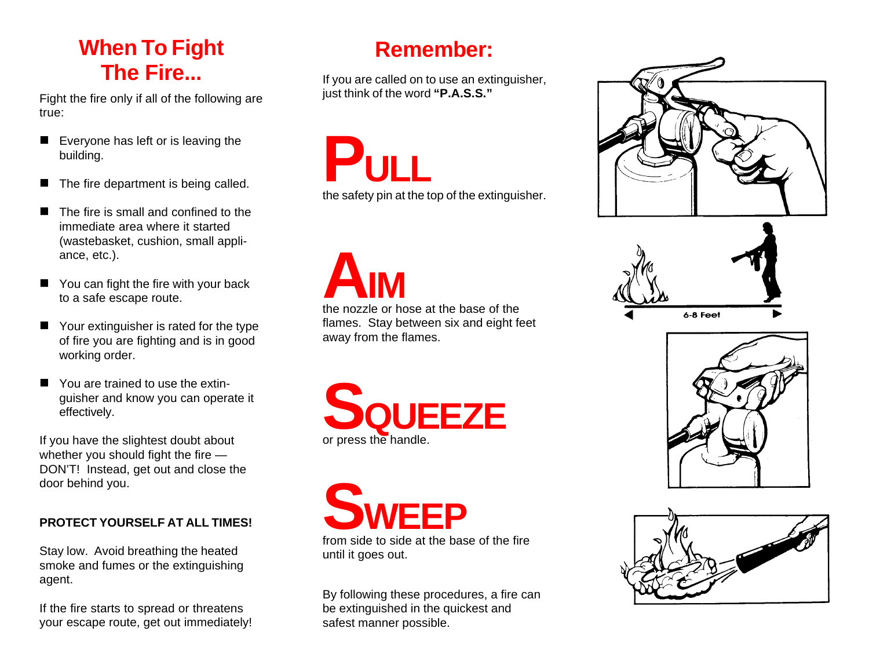## **When To Fight The Fire...**

Fight the fire only if all of the following are true:

- $\blacksquare$  Everyone has left or is leaving the building.
- $\blacksquare$  The fire department is being called.
- The fire is small and confined to the immediate area where it started (wastebasket, cushion, small appliance, etc.).
- You can fight the fire with your back to a safe escape route.
- Your extinguisher is rated for the type of fire you are fighting and is in good working order.
- You are trained to use the extinguisher and know you can operate it effectively.

If you have the slightest doubt about whether you should fight the fire — DON'T! Instead, get out and close the door behind you.

#### **PROTECT YOURSELF AT ALL TIMES!**

Stay low. Avoid breathing the heated smoke and fumes or the extinguishing agent.

If the fire starts to spread or threatens your escape route, get out immediately!

#### **Remember:**

If you are called on to use an extinguisher, just think of the word **"P.A.S.S."**

**PULL**

the safety pin at the top of the extinguisher.

**A**<br>the nozzle or hose at the base of the **IM** flames. Stay between six and eight feet away from the flames.





until it goes out.

By following these procedures, a fire can be extinguished in the quickest and safest manner possible.